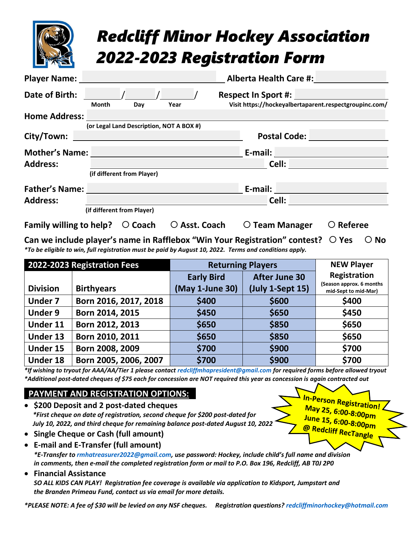|                                                   |              |                                          |                        |                                                                                      | <b>Redcliff Minor Hockey Association</b><br><b>2022-2023 Registration Form</b> |                    |
|---------------------------------------------------|--------------|------------------------------------------|------------------------|--------------------------------------------------------------------------------------|--------------------------------------------------------------------------------|--------------------|
| <b>Player Name:</b>                               |              |                                          |                        |                                                                                      | <b>Alberta Health Care #:</b>                                                  |                    |
| Date of Birth:                                    | <b>Month</b> | Day                                      | Year                   | <b>Respect In Sport #:</b><br>Visit https://hockeyalbertaparent.respectgroupinc.com/ |                                                                                |                    |
| <b>Home Address:</b>                              |              |                                          |                        |                                                                                      |                                                                                |                    |
| City/Town:                                        |              | (or Legal Land Description, NOT A BOX #) |                        |                                                                                      | <b>Postal Code:</b>                                                            |                    |
| <b>Mother's Name:</b>                             |              |                                          |                        |                                                                                      | E-mail: E-mail:                                                                |                    |
| <b>Address:</b>                                   |              |                                          |                        |                                                                                      | Cell: <b>Cell</b>                                                              |                    |
|                                                   |              | (if different from Player)               |                        |                                                                                      |                                                                                |                    |
| <b>Father's Name:</b>                             |              |                                          |                        |                                                                                      | E-mail:                                                                        |                    |
| <b>Address:</b>                                   |              |                                          |                        |                                                                                      | Cell: <b>Cell</b>                                                              |                    |
|                                                   |              | (if different from Player)               |                        |                                                                                      |                                                                                |                    |
| Family willing to help? $\circlearrowright$ Coach |              |                                          | $\bigcirc$ Asst. Coach |                                                                                      | $\circ$ Team Manager                                                           | $\bigcirc$ Referee |

**Can we include player's name in Rafflebox "Win Your Registration" contest?**  $\bigcirc$  **Yes**  $\bigcirc$  **No** *\*To be eligible to win, full registration must be paid by August 10, 2022. Terms and conditions apply.*

| 2022-2023 Registration Fees |                       | <b>Returning Players</b>             | <b>NEW Player</b>                          |                                          |
|-----------------------------|-----------------------|--------------------------------------|--------------------------------------------|------------------------------------------|
| <b>Division</b>             | <b>Birthyears</b>     | <b>Early Bird</b><br>(May 1-June 30) | <b>After June 30</b><br>$(July 1-Sept 15)$ | Registration<br>(Season approx. 6 months |
| <b>Under 7</b>              | Born 2016, 2017, 2018 | \$400                                | \$600                                      | mid-Sept to mid-Mar)<br>\$400            |
| <b>Under 9</b>              | Born 2014, 2015       | \$450                                | \$650                                      | \$450                                    |
| Under 11                    | Born 2012, 2013       | \$650                                | \$850                                      | \$650                                    |
| Under 13                    | Born 2010, 2011       | \$650                                | \$850                                      | \$650                                    |
| Under 15                    | Born 2008, 2009       | \$700                                | \$900                                      | \$700                                    |
| <b>Under 18</b>             | Born 2005, 2006, 2007 | \$700                                | \$900                                      | \$700                                    |

*\*If wishing to tryout for AAA/AA/Tier 1 please contact [redcliffmhapresident@gmail.com](mailto:redcliffmhapresident@gmail.com) for required forms before allowed tryout \*Additional post-dated cheques of \$75 each for concession are NOT required this year as concession is again contracted out*

> May 25, 6:00-8:00pm June 15, 6:00-8:00pm<br>@ Redaliss -

## **PAYMENT AND REGISTRATION OPTIONS: :**

- **\$200 Deposit and 2 post-dated cheques** *\*First cheque on date of registration, second cheque for \$200 post-dated for July 10, 2022, and third cheque for remaining balance post-dated August 10, 2022*
- **Single Cheque or Cash (full amount)**
- **E-mail and E-Transfer (full amount)** *\*E-Transfer to [rmhatreasurer2022@gmail.com,](mailto:rmhatreasurer2022@gmail.com) use password: Hockey, include child's full name and division in comments, then e-mail the completed registration form or mail to P.O. Box 196, Redcliff, AB T0J 2P0*
- **Financial Assistance**

*SO ALL KIDS CAN PLAY! Registration fee coverage is available via application to Kidsport, Jumpstart and the Branden Primeau Fund, contact us via email for more details.*

*\*PLEASE NOTE: A fee of \$30 will be levied on any NSF cheques. Registration questions? [redcliffminorhockey@hotmail.com](mailto:redcliffminorhockey@hotmail.com)*